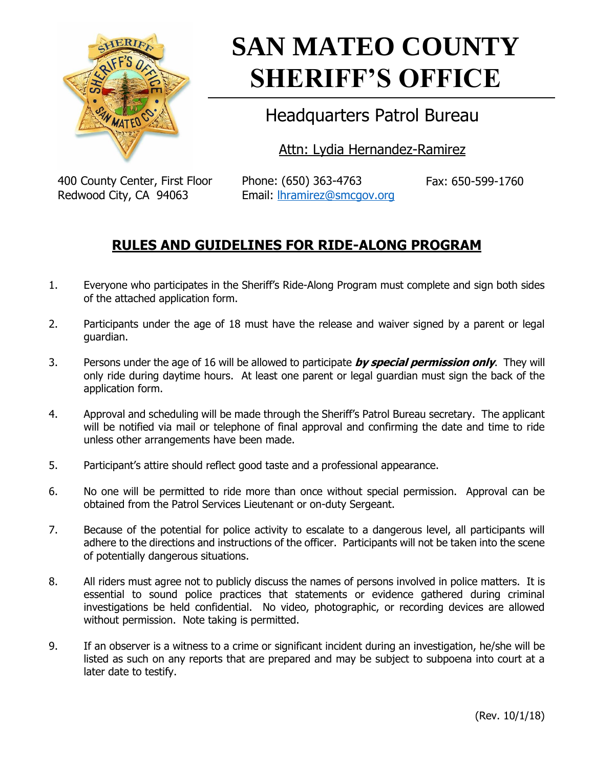

# **SAN MATEO COUNTY SHERIFF'S OFFICE**

## Headquarters Patrol Bureau

Attn: Lydia Hernandez-Ramirez

400 County Center, First Floor Redwood City, CA 94063

Phone: (650) 363-4763 Email: [lhramirez@smcgov.org](mailto:lhramirez@smcgov.org) Fax: 650-599-1760

### **RULES AND GUIDELINES FOR RIDE-ALONG PROGRAM**

- 1. Everyone who participates in the Sheriff's Ride-Along Program must complete and sign both sides of the attached application form.
- 2. Participants under the age of 18 must have the release and waiver signed by a parent or legal guardian.
- 3. Persons under the age of 16 will be allowed to participate **by special permission only**. They will only ride during daytime hours. At least one parent or legal guardian must sign the back of the application form.
- 4. Approval and scheduling will be made through the Sheriff's Patrol Bureau secretary. The applicant will be notified via mail or telephone of final approval and confirming the date and time to ride unless other arrangements have been made.
- 5. Participant's attire should reflect good taste and a professional appearance.
- 6. No one will be permitted to ride more than once without special permission. Approval can be obtained from the Patrol Services Lieutenant or on-duty Sergeant.
- 7. Because of the potential for police activity to escalate to a dangerous level, all participants will adhere to the directions and instructions of the officer. Participants will not be taken into the scene of potentially dangerous situations.
- 8. All riders must agree not to publicly discuss the names of persons involved in police matters. It is essential to sound police practices that statements or evidence gathered during criminal investigations be held confidential. No video, photographic, or recording devices are allowed without permission. Note taking is permitted.
- 9. If an observer is a witness to a crime or significant incident during an investigation, he/she will be listed as such on any reports that are prepared and may be subject to subpoena into court at a later date to testify.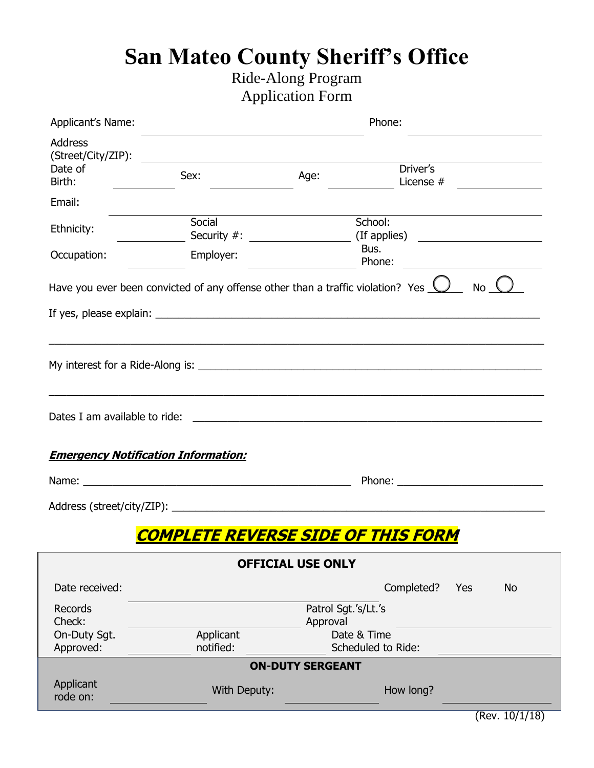## **San Mateo County Sheriff's Office**

## Ride-Along Program Application Form

| Applicant's Name:                               | Phone:                                                                                 |                          |                                                                                   |
|-------------------------------------------------|----------------------------------------------------------------------------------------|--------------------------|-----------------------------------------------------------------------------------|
| <b>Address</b><br>(Street/City/ZIP):<br>Date of | <u> 1989 - John Stein, Amerikaansk politiker (* 1958)</u>                              |                          | Driver's                                                                          |
| Birth:                                          | Sex:                                                                                   | Age:                     | License #                                                                         |
| Email:                                          |                                                                                        |                          |                                                                                   |
| Ethnicity:                                      | Social                                                                                 |                          | School:                                                                           |
| Occupation:                                     | Employer:                                                                              |                          | Bus.<br>Phone:                                                                    |
|                                                 | Have you ever been convicted of any offense other than a traffic violation? Yes $\Box$ |                          | No (                                                                              |
|                                                 |                                                                                        |                          |                                                                                   |
|                                                 |                                                                                        |                          | ,我们也不能在这里的时候,我们也不能在这里的时候,我们也不能会在这里的时候,我们也不能会在这里的时候,我们也不能会在这里的时候,我们也不能会在这里的时候,我们也不 |
|                                                 |                                                                                        |                          |                                                                                   |
|                                                 |                                                                                        |                          |                                                                                   |
| Dates I am available to ride:                   |                                                                                        |                          | <u> 1980 - Jan Samuel Barbara, margaret eta idazlea (h. 1980).</u>                |
|                                                 |                                                                                        |                          |                                                                                   |
| <b>Emergency Notification Information:</b>      |                                                                                        |                          |                                                                                   |
|                                                 | Name: Name:                                                                            |                          |                                                                                   |
|                                                 |                                                                                        |                          |                                                                                   |
|                                                 | <b>COMPLETE REVERSE SIDE OF THIS FORM</b>                                              |                          |                                                                                   |
|                                                 |                                                                                        | <b>OFFICIAL USE ONLY</b> |                                                                                   |
| Date received:                                  |                                                                                        |                          | Completed?<br><b>No</b><br>Yes                                                    |
| Records<br>Check:                               |                                                                                        |                          | Patrol Sgt.'s/Lt.'s                                                               |
| On-Duty Sgt.                                    | Applicant                                                                              | Approval                 | Date & Time                                                                       |
| Approved:                                       | notified:                                                                              |                          | Scheduled to Ride:                                                                |
|                                                 |                                                                                        | <b>ON-DUTY SERGEANT</b>  |                                                                                   |
| Applicant<br>rode on:                           | With Deputy:                                                                           |                          | How long?                                                                         |
|                                                 |                                                                                        |                          |                                                                                   |